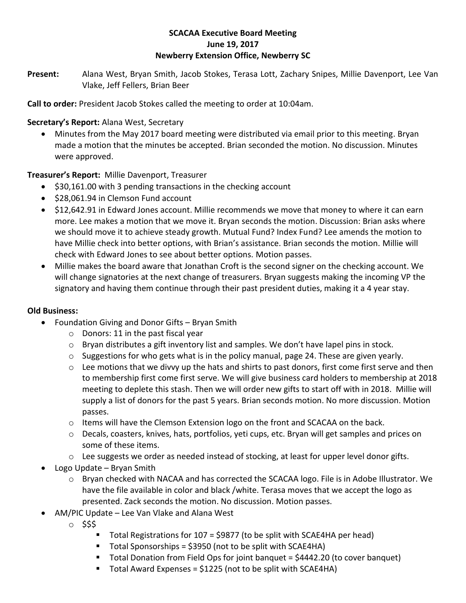#### **SCACAA Executive Board Meeting June 19, 2017 Newberry Extension Office, Newberry SC**

**Present:** Alana West, Bryan Smith, Jacob Stokes, Terasa Lott, Zachary Snipes, Millie Davenport, Lee Van Vlake, Jeff Fellers, Brian Beer

**Call to order:** President Jacob Stokes called the meeting to order at 10:04am.

## **Secretary's Report:** Alana West, Secretary

 Minutes from the May 2017 board meeting were distributed via email prior to this meeting. Bryan made a motion that the minutes be accepted. Brian seconded the motion. No discussion. Minutes were approved.

# **Treasurer's Report:** Millie Davenport, Treasurer

- \$30,161.00 with 3 pending transactions in the checking account
- $\bullet$  \$28,061.94 in Clemson Fund account
- \$12,642.91 in Edward Jones account. Millie recommends we move that money to where it can earn more. Lee makes a motion that we move it. Bryan seconds the motion. Discussion: Brian asks where we should move it to achieve steady growth. Mutual Fund? Index Fund? Lee amends the motion to have Millie check into better options, with Brian's assistance. Brian seconds the motion. Millie will check with Edward Jones to see about better options. Motion passes.
- Millie makes the board aware that Jonathan Croft is the second signer on the checking account. We will change signatories at the next change of treasurers. Bryan suggests making the incoming VP the signatory and having them continue through their past president duties, making it a 4 year stay.

### **Old Business:**

- Foundation Giving and Donor Gifts Bryan Smith
	- $\circ$  Donors: 11 in the past fiscal year
	- $\circ$  Bryan distributes a gift inventory list and samples. We don't have lapel pins in stock.
	- o Suggestions for who gets what is in the policy manual, page 24. These are given yearly.
	- $\circ$  Lee motions that we divvy up the hats and shirts to past donors, first come first serve and then to membership first come first serve. We will give business card holders to membership at 2018 meeting to deplete this stash. Then we will order new gifts to start off with in 2018. Millie will supply a list of donors for the past 5 years. Brian seconds motion. No more discussion. Motion passes.
	- o Items will have the Clemson Extension logo on the front and SCACAA on the back.
	- o Decals, coasters, knives, hats, portfolios, yeti cups, etc. Bryan will get samples and prices on some of these items.
	- $\circ$  Lee suggests we order as needed instead of stocking, at least for upper level donor gifts.
- Logo Update Bryan Smith
	- o Bryan checked with NACAA and has corrected the SCACAA logo. File is in Adobe Illustrator. We have the file available in color and black /white. Terasa moves that we accept the logo as presented. Zack seconds the motion. No discussion. Motion passes.
- AM/PIC Update Lee Van Vlake and Alana West
	- o \$\$\$
		- $\blacksquare$  Total Registrations for 107 = \$9877 (to be split with SCAE4HA per head)
		- $\blacksquare$  Total Sponsorships = \$3950 (not to be split with SCAE4HA)
		- Total Donation from Field Ops for joint banquet = \$4442.20 (to cover banquet)
		- $\blacksquare$  Total Award Expenses = \$1225 (not to be split with SCAE4HA)